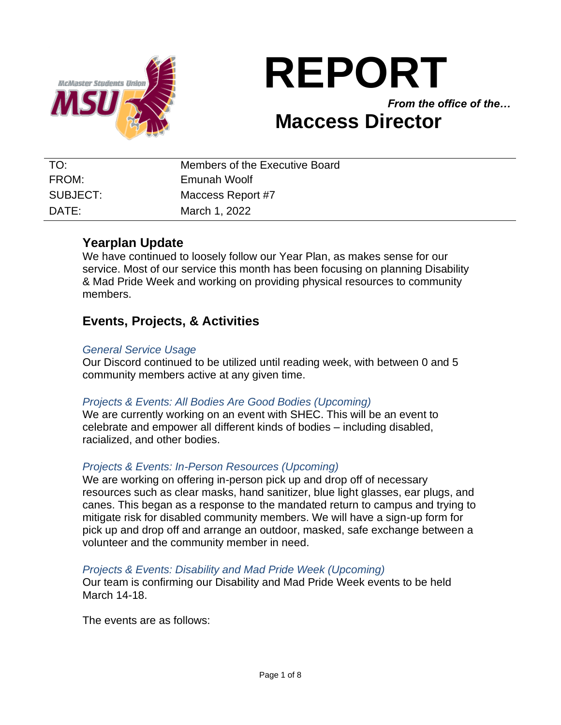

# **REPORT**

*From the office of the…*

# **Maccess Director**

| TO:               | Members of the Executive Board |
|-------------------|--------------------------------|
| FROM:             | Emunah Woolf                   |
| SUBJECT:          | Maccess Report #7              |
| $\mathsf{DATF}$ : | March 1, 2022                  |

# **Yearplan Update**

We have continued to loosely follow our Year Plan, as makes sense for our service. Most of our service this month has been focusing on planning Disability & Mad Pride Week and working on providing physical resources to community members.

# **Events, Projects, & Activities**

#### *General Service Usage*

Our Discord continued to be utilized until reading week, with between 0 and 5 community members active at any given time.

## *Projects & Events: All Bodies Are Good Bodies (Upcoming)*

We are currently working on an event with SHEC. This will be an event to celebrate and empower all different kinds of bodies – including disabled, racialized, and other bodies.

## *Projects & Events: In-Person Resources (Upcoming)*

We are working on offering in-person pick up and drop off of necessary resources such as clear masks, hand sanitizer, blue light glasses, ear plugs, and canes. This began as a response to the mandated return to campus and trying to mitigate risk for disabled community members. We will have a sign-up form for pick up and drop off and arrange an outdoor, masked, safe exchange between a volunteer and the community member in need.

#### *Projects & Events: Disability and Mad Pride Week (Upcoming)*

Our team is confirming our Disability and Mad Pride Week events to be held March 14-18.

The events are as follows: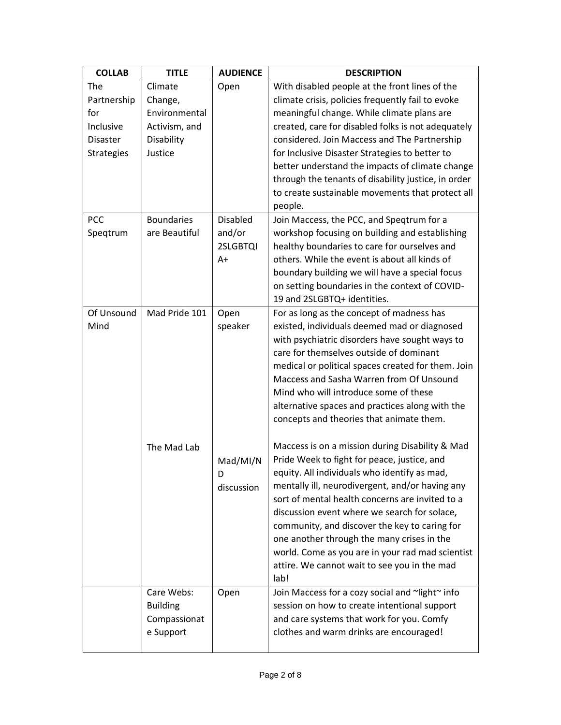| <b>COLLAB</b>     | <b>TITLE</b>      | <b>AUDIENCE</b> | <b>DESCRIPTION</b>                                                                        |
|-------------------|-------------------|-----------------|-------------------------------------------------------------------------------------------|
| The               | Climate           | Open            | With disabled people at the front lines of the                                            |
| Partnership       | Change,           |                 | climate crisis, policies frequently fail to evoke                                         |
| for               | Environmental     |                 | meaningful change. While climate plans are                                                |
| Inclusive         | Activism, and     |                 | created, care for disabled folks is not adequately                                        |
| <b>Disaster</b>   | Disability        |                 | considered. Join Maccess and The Partnership                                              |
| <b>Strategies</b> | Justice           |                 | for Inclusive Disaster Strategies to better to                                            |
|                   |                   |                 | better understand the impacts of climate change                                           |
|                   |                   |                 | through the tenants of disability justice, in order                                       |
|                   |                   |                 | to create sustainable movements that protect all                                          |
|                   |                   |                 | people.                                                                                   |
| PCC               | <b>Boundaries</b> | <b>Disabled</b> | Join Maccess, the PCC, and Speqtrum for a                                                 |
| Speqtrum          | are Beautiful     | and/or          | workshop focusing on building and establishing                                            |
|                   |                   | 2SLGBTQI        | healthy boundaries to care for ourselves and                                              |
|                   |                   | A+              | others. While the event is about all kinds of                                             |
|                   |                   |                 | boundary building we will have a special focus                                            |
|                   |                   |                 | on setting boundaries in the context of COVID-                                            |
|                   |                   |                 | 19 and 2SLGBTQ+ identities.                                                               |
| Of Unsound        | Mad Pride 101     | Open            | For as long as the concept of madness has                                                 |
| Mind              |                   | speaker         | existed, individuals deemed mad or diagnosed                                              |
|                   |                   |                 | with psychiatric disorders have sought ways to<br>care for themselves outside of dominant |
|                   |                   |                 | medical or political spaces created for them. Join                                        |
|                   |                   |                 | Maccess and Sasha Warren from Of Unsound                                                  |
|                   |                   |                 | Mind who will introduce some of these                                                     |
|                   |                   |                 | alternative spaces and practices along with the                                           |
|                   |                   |                 | concepts and theories that animate them.                                                  |
|                   |                   |                 |                                                                                           |
|                   | The Mad Lab       |                 | Maccess is on a mission during Disability & Mad                                           |
|                   |                   | Mad/MI/N        | Pride Week to fight for peace, justice, and                                               |
|                   |                   | D               | equity. All individuals who identify as mad,                                              |
|                   |                   | discussion      | mentally ill, neurodivergent, and/or having any                                           |
|                   |                   |                 | sort of mental health concerns are invited to a                                           |
|                   |                   |                 | discussion event where we search for solace,                                              |
|                   |                   |                 | community, and discover the key to caring for                                             |
|                   |                   |                 | one another through the many crises in the                                                |
|                   |                   |                 | world. Come as you are in your rad mad scientist                                          |
|                   |                   |                 | attire. We cannot wait to see you in the mad                                              |
|                   |                   |                 | lab!                                                                                      |
|                   | Care Webs:        | Open            | Join Maccess for a cozy social and ~light~ info                                           |
|                   | <b>Building</b>   |                 | session on how to create intentional support                                              |
|                   | Compassionat      |                 | and care systems that work for you. Comfy                                                 |
|                   | e Support         |                 | clothes and warm drinks are encouraged!                                                   |
|                   |                   |                 |                                                                                           |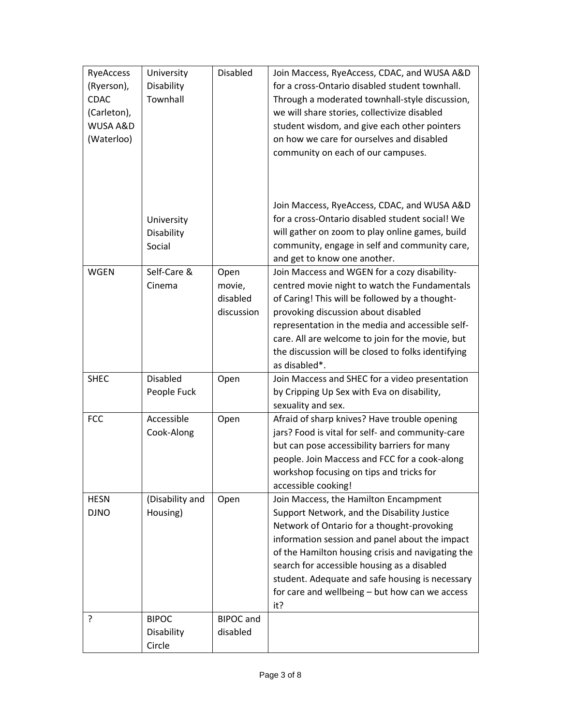| RyeAccess   | University      | <b>Disabled</b>  | Join Maccess, RyeAccess, CDAC, and WUSA A&D                  |
|-------------|-----------------|------------------|--------------------------------------------------------------|
| (Ryerson),  | Disability      |                  | for a cross-Ontario disabled student townhall.               |
| <b>CDAC</b> | Townhall        |                  | Through a moderated townhall-style discussion,               |
| (Carleton), |                 |                  | we will share stories, collectivize disabled                 |
| WUSA A&D    |                 |                  | student wisdom, and give each other pointers                 |
| (Waterloo)  |                 |                  | on how we care for ourselves and disabled                    |
|             |                 |                  | community on each of our campuses.                           |
|             |                 |                  |                                                              |
|             |                 |                  |                                                              |
|             |                 |                  |                                                              |
|             |                 |                  | Join Maccess, RyeAccess, CDAC, and WUSA A&D                  |
|             | University      |                  | for a cross-Ontario disabled student social! We              |
|             | Disability      |                  | will gather on zoom to play online games, build              |
|             | Social          |                  | community, engage in self and community care,                |
|             |                 |                  | and get to know one another.                                 |
| <b>WGEN</b> | Self-Care &     | Open             | Join Maccess and WGEN for a cozy disability-                 |
|             | Cinema          | movie,           | centred movie night to watch the Fundamentals                |
|             |                 | disabled         | of Caring! This will be followed by a thought-               |
|             |                 | discussion       | provoking discussion about disabled                          |
|             |                 |                  | representation in the media and accessible self-             |
|             |                 |                  | care. All are welcome to join for the movie, but             |
|             |                 |                  | the discussion will be closed to folks identifying           |
|             |                 |                  | as disabled*.                                                |
| <b>SHEC</b> | <b>Disabled</b> | Open             | Join Maccess and SHEC for a video presentation               |
|             | People Fuck     |                  | by Cripping Up Sex with Eva on disability,                   |
|             |                 |                  | sexuality and sex.                                           |
| <b>FCC</b>  | Accessible      | Open             | Afraid of sharp knives? Have trouble opening                 |
|             | Cook-Along      |                  | jars? Food is vital for self- and community-care             |
|             |                 |                  | but can pose accessibility barriers for many                 |
|             |                 |                  | people. Join Maccess and FCC for a cook-along                |
|             |                 |                  | workshop focusing on tips and tricks for                     |
| <b>HESN</b> | (Disability and | Open             | accessible cooking!<br>Join Maccess, the Hamilton Encampment |
| <b>DJNO</b> | Housing)        |                  | Support Network, and the Disability Justice                  |
|             |                 |                  | Network of Ontario for a thought-provoking                   |
|             |                 |                  | information session and panel about the impact               |
|             |                 |                  | of the Hamilton housing crisis and navigating the            |
|             |                 |                  | search for accessible housing as a disabled                  |
|             |                 |                  | student. Adequate and safe housing is necessary              |
|             |                 |                  | for care and wellbeing - but how can we access               |
|             |                 |                  | it?                                                          |
| ?           | <b>BIPOC</b>    | <b>BIPOC</b> and |                                                              |
|             | Disability      | disabled         |                                                              |
|             | Circle          |                  |                                                              |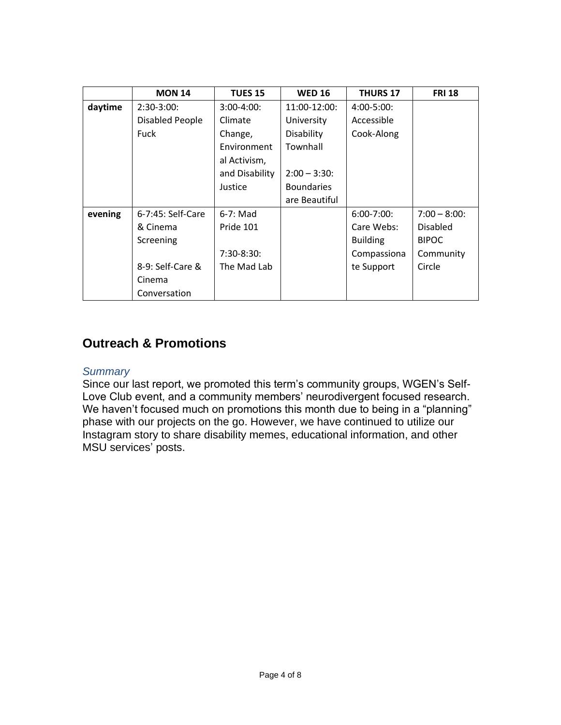|         | <b>MON 14</b>     | <b>TUES 15</b> | <b>WED 16</b>     | <b>THURS 17</b> | <b>FRI 18</b> |
|---------|-------------------|----------------|-------------------|-----------------|---------------|
| daytime | $2:30-3:00:$      | $3:00-4:00$ :  | 11:00-12:00:      | $4:00 - 5:00$ : |               |
|         | Disabled People   | Climate        | University        | Accessible      |               |
|         | <b>Fuck</b>       | Change,        | Disability        | Cook-Along      |               |
|         |                   | Environment    | Townhall          |                 |               |
|         |                   | al Activism,   |                   |                 |               |
|         |                   | and Disability | $2:00 - 3:30:$    |                 |               |
|         |                   | Justice        | <b>Boundaries</b> |                 |               |
|         |                   |                | are Beautiful     |                 |               |
| evening | 6-7:45: Self-Care | $6-7$ : Mad    |                   | $6:00 - 7:00$   | $7:00 - 8:00$ |
|         | & Cinema          | Pride 101      |                   | Care Webs:      | Disabled      |
|         | Screening         |                |                   | <b>Building</b> | <b>BIPOC</b>  |
|         |                   | $7:30-8:30:$   |                   | Compassiona     | Community     |
|         | 8-9: Self-Care &  | The Mad Lab    |                   | te Support      | Circle        |
|         | Cinema            |                |                   |                 |               |
|         | Conversation      |                |                   |                 |               |

# **Outreach & Promotions**

#### *Summary*

Since our last report, we promoted this term's community groups, WGEN's Self-Love Club event, and a community members' neurodivergent focused research. We haven't focused much on promotions this month due to being in a "planning" phase with our projects on the go. However, we have continued to utilize our Instagram story to share disability memes, educational information, and other MSU services' posts.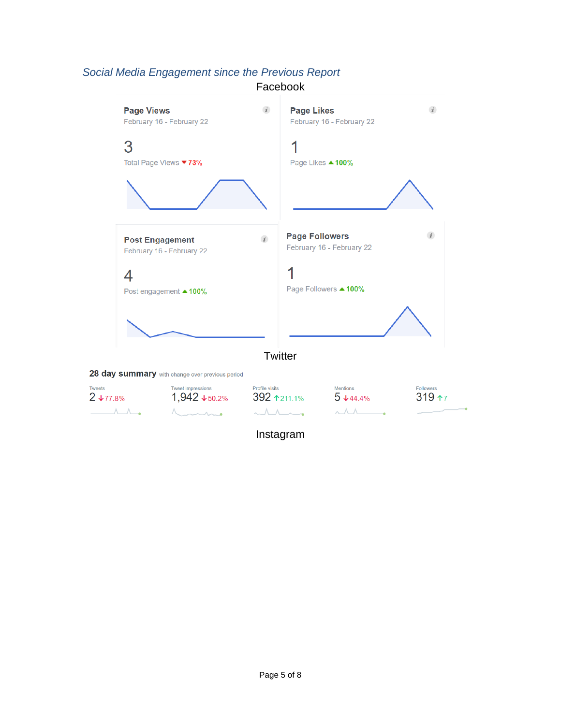# *Social Media Engagement since the Previous Report*

Facebook



Instagram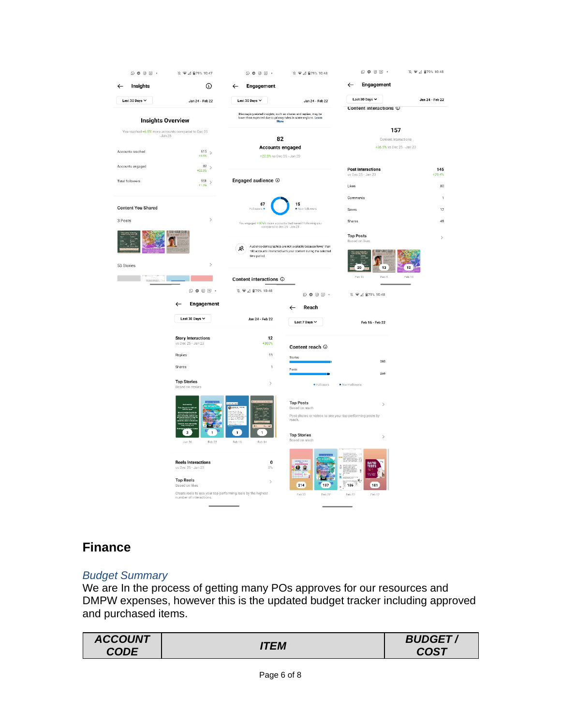| $\circledcirc \circledcirc \mathbb{F}$             | ※ ●△ ■79% 10:47                                 | $\circ$ $\circ$ $\circ$ $\circ$ $\cdot$                                                                                                      | 10.9 △ ■79% 10:48                                                                            | $\circledcirc \circledcirc \circledcirc \cdot$ | 攻 <b>●⊿ 自79% 10:48</b>      |
|----------------------------------------------------|-------------------------------------------------|----------------------------------------------------------------------------------------------------------------------------------------------|----------------------------------------------------------------------------------------------|------------------------------------------------|-----------------------------|
| Insights                                           | $^{\circ}$                                      | Engagement<br>←                                                                                                                              |                                                                                              | Engagement<br>$\leftarrow$                     |                             |
| Last 30 Days V                                     | Jan 24 - Feb 22                                 | Last 30 Days $\sim$                                                                                                                          | Jan 24 - Feb 22                                                                              | Last 30 Days $\vee$                            | Jan 24 - Feb 22             |
| <b>Insights Overview</b>                           |                                                 | Messaging-related insights, such as shares and replies, may be<br>Increasing in a marginal contract the privacy rules in some regions. Learn |                                                                                              | Content interactions (                         |                             |
| You reached +6.5% more accounts compared to Dec 25 |                                                 |                                                                                                                                              |                                                                                              | 157                                            |                             |
| $-Jan 23$                                          |                                                 | 82                                                                                                                                           |                                                                                              | Content Interactions                           |                             |
| Accounts reached                                   | $^{615}$ $\,$<br>$+6.5%$                        | <b>Accounts engaged</b><br>+22.3% vs Dec 25 - Jan 23                                                                                         |                                                                                              | +36.5% vs Dec 25 - Jan 23                      |                             |
| Accounts engaged                                   | 82                                              |                                                                                                                                              |                                                                                              |                                                |                             |
|                                                    | $+22.3%$                                        |                                                                                                                                              |                                                                                              | <b>Post Interactions</b><br>vs Dec 25 - Jan 23 | 145<br>$+29.4%$             |
| <b>Total followers</b>                             | $951$ ><br>$+1.3%$                              | Engaged audience $@$                                                                                                                         |                                                                                              | Likes                                          | 80                          |
|                                                    |                                                 |                                                                                                                                              |                                                                                              | Comments                                       |                             |
| <b>Content You Shared</b>                          |                                                 | 67<br>Followers                                                                                                                              | 15<br>· Non-followers                                                                        |                                                |                             |
|                                                    |                                                 |                                                                                                                                              |                                                                                              | Saves                                          | $17\,$                      |
| 3 Posts                                            | $\rightarrow$                                   | You engaged +50%% more accounts that weren't following you<br>compared to Dec 25 - Jan 23                                                    |                                                                                              | Shares                                         | 45                          |
|                                                    | SELF-LOVE CLUB                                  |                                                                                                                                              |                                                                                              | <b>Top Posts</b>                               | $\mathcal{L}_{\mathcal{L}}$ |
|                                                    |                                                 | Զ                                                                                                                                            | Audience demographics are not available because fewer than                                   | Based on likes<br>ELF-LOVE CLU                 |                             |
|                                                    |                                                 | time period.                                                                                                                                 | 100 accounts interacted with your content during the selected                                |                                                |                             |
| 53 Stories                                         | $\overline{ }$                                  |                                                                                                                                              |                                                                                              | 20<br>13                                       | 12                          |
| missione. '-                                       |                                                 | Content interactions <sup>1</sup>                                                                                                            |                                                                                              | Feb 16<br>Feb 8                                | Feb 10                      |
|                                                    | $\odot$ $\odot$ $\odot$ $\odot$ $\cdots$        | ע ହ⊿ ∄79% 10:48                                                                                                                              | $\circ \bullet \circ \textcolor{red}{\circ} \textcolor{red}{\bullet} \textcolor{red}{\cdot}$ | 10:48 € 2 179% 10:48                           |                             |
|                                                    | Engagement<br>←                                 |                                                                                                                                              | Reach                                                                                        |                                                |                             |
|                                                    | Last 30 Days $\sim$                             | Jan 24 - Feb 22                                                                                                                              | Last 7 Days $\vee$                                                                           | Feb 16 - Feb 22                                |                             |
|                                                    | <b>Story Interactions</b>                       | 12                                                                                                                                           |                                                                                              |                                                |                             |
|                                                    | vs Dec 25 - Jan 23                              | +300%                                                                                                                                        | Content reach $\odot$                                                                        |                                                |                             |
|                                                    | Replies                                         | 11                                                                                                                                           | Stories                                                                                      | 283                                            |                             |
|                                                    | Shares                                          | $\overline{1}$                                                                                                                               | Posts                                                                                        | 269                                            |                             |
|                                                    | <b>Top Stories</b>                              | $\mathcal{P}$                                                                                                                                | · Followers                                                                                  | · Non-Followers                                |                             |
|                                                    | Based on replies                                |                                                                                                                                              |                                                                                              |                                                |                             |
|                                                    |                                                 |                                                                                                                                              | <b>Top Posts</b>                                                                             | $\geq$                                         |                             |
|                                                    |                                                 |                                                                                                                                              | Based on reach<br>Post photos or videos to see your top-performing posts by                  |                                                |                             |
|                                                    |                                                 |                                                                                                                                              | reach.                                                                                       |                                                |                             |
|                                                    | $\mathbf 3$<br>$\mathbf{1}$                     | 1<br>1                                                                                                                                       | <b>Top Stories</b>                                                                           | $\overline{ }$                                 |                             |
|                                                    | Feb 22<br>Jan 26                                | Feb 16<br>Feb 14                                                                                                                             | Based on reach                                                                               |                                                |                             |
|                                                    |                                                 |                                                                                                                                              |                                                                                              |                                                |                             |
|                                                    | <b>Reels Interactions</b><br>vs Dec 25 - Jan 23 | 0<br>0%                                                                                                                                      | G<br>Ð                                                                                       | RAPID<br>Tests                                 |                             |
|                                                    |                                                 |                                                                                                                                              | 90                                                                                           | <b><i><u>ACCOUNTANT</u></i></b>                |                             |
|                                                    | <b>Top Reels</b><br>Based on likes              | $\,$                                                                                                                                         | 214<br>197                                                                                   | 186<br>181                                     |                             |
|                                                    |                                                 |                                                                                                                                              |                                                                                              |                                                |                             |

# **Finance**

## *Budget Summary*

We are In the process of getting many POs approves for our resources and DMPW expenses, however this is the updated budget tracker including approved and purchased items.

| <b>ACCOUNT</b> |      | <b>BUDGET</b> |
|----------------|------|---------------|
| <b>CODE</b>    | ITEM | <b>COST</b>   |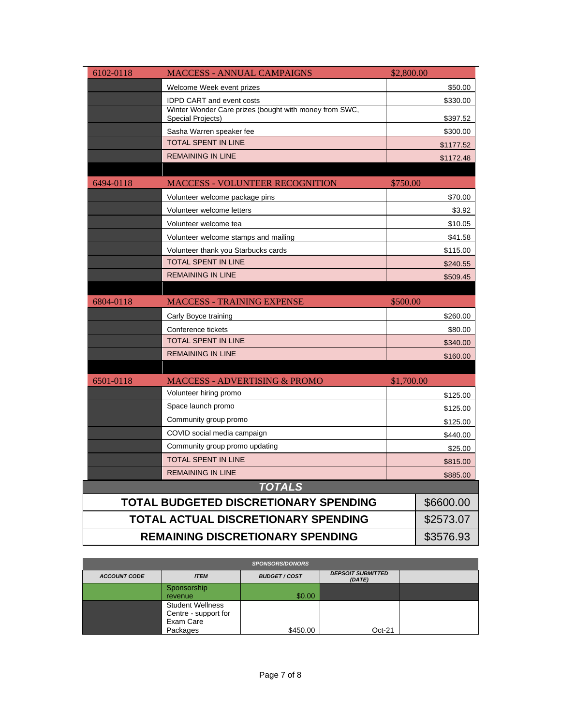| 6102-0118                | <b>MACCESS - ANNUAL CAMPAIGNS</b>                                           | \$2,800.00 |           |
|--------------------------|-----------------------------------------------------------------------------|------------|-----------|
|                          | Welcome Week event prizes                                                   |            | \$50.00   |
|                          | <b>IDPD CART and event costs</b><br>\$330.00                                |            |           |
|                          | Winter Wonder Care prizes (bought with money from SWC,<br>Special Projects) |            | \$397.52  |
|                          | Sasha Warren speaker fee                                                    |            | \$300.00  |
|                          | <b>TOTAL SPENT IN LINE</b>                                                  |            | \$1177.52 |
|                          | <b>REMAINING IN LINE</b>                                                    |            | \$1172.48 |
| 6494-0118                | <b>MACCESS - VOLUNTEER RECOGNITION</b>                                      | \$750.00   |           |
|                          | Volunteer welcome package pins                                              |            | \$70.00   |
|                          | Volunteer welcome letters                                                   |            | \$3.92    |
|                          | Volunteer welcome tea                                                       |            | \$10.05   |
|                          | Volunteer welcome stamps and mailing                                        |            | \$41.58   |
|                          | Volunteer thank you Starbucks cards                                         |            | \$115.00  |
|                          | <b>TOTAL SPENT IN LINE</b>                                                  |            | \$240.55  |
|                          | <b>REMAINING IN LINE</b>                                                    | \$509.45   |           |
|                          |                                                                             |            |           |
| 6804-0118                | <b>MACCESS - TRAINING EXPENSE</b>                                           | \$500.00   |           |
|                          | Carly Boyce training                                                        |            | \$260.00  |
|                          | Conference tickets                                                          |            | \$80.00   |
|                          | TOTAL SPENT IN LINE                                                         |            | \$340.00  |
|                          | <b>REMAINING IN LINE</b>                                                    |            | \$160.00  |
|                          |                                                                             |            |           |
| 6501-0118                | <b>MACCESS - ADVERTISING &amp; PROMO</b>                                    | \$1,700.00 |           |
|                          | Volunteer hiring promo                                                      |            | \$125.00  |
|                          | Space launch promo                                                          |            | \$125.00  |
|                          | Community group promo                                                       | \$125.00   |           |
|                          | COVID social media campaign                                                 | \$440.00   |           |
|                          | Community group promo updating                                              | \$25.00    |           |
|                          | TOTAL SPENT IN LINE                                                         | \$815.00   |           |
| <b>REMAINING IN LINE</b> |                                                                             |            | \$885.00  |
|                          | <b>TOTALS</b>                                                               |            |           |
|                          | <b>TOTAL BUDGETED DISCRETIONARY SPENDING</b>                                |            | \$6600.00 |
|                          | TOTAL ACTUAL DISCRETIONARY SPENDING                                         |            | \$2573.07 |
|                          | <b>REMAINING DISCRETIONARY SPENDING</b>                                     |            | \$3576.93 |

| <b>SPONSORS/DONORS</b> |                         |                      |                                    |  |  |  |  |
|------------------------|-------------------------|----------------------|------------------------------------|--|--|--|--|
| <b>ACCOUNT CODE</b>    | <b>ITEM</b>             | <b>BUDGET / COST</b> | <b>DEPSOIT SUBMITTED</b><br>(DATE) |  |  |  |  |
|                        | Sponsorship             |                      |                                    |  |  |  |  |
|                        | revenue                 | \$0.00               |                                    |  |  |  |  |
|                        | <b>Student Wellness</b> |                      |                                    |  |  |  |  |
|                        | Centre - support for    |                      |                                    |  |  |  |  |
|                        | Exam Care               |                      |                                    |  |  |  |  |
|                        | Packages                | \$450.00             | $Oct-21$                           |  |  |  |  |